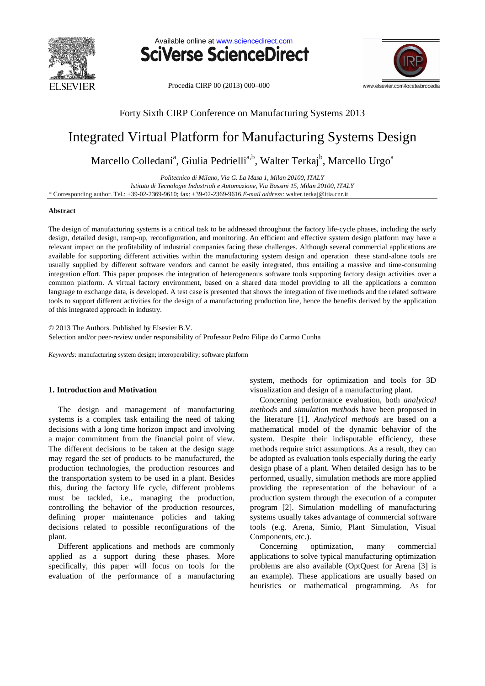



Procedia CIRP 00 (2013) 000–000



# Forty Sixth CIRP Conference on Manufacturing Systems 2013

# Integrated Virtual Platform for Manufacturing Systems Design

Marcello Colledani<sup>a</sup>, Giulia Pedrielli<sup>a,b</sup>, Walter Terkaj<sup>b</sup>, Marcello Urgo<sup>a</sup>

*Politecnico di Milano, Via G. La Masa 1, Milan 20100, ITALY Istituto di Tecnologie Industriali e Automazione, Via Bassini 15, Milan 20100, ITALY* \* Corresponding author. Tel.: +39-02-2369-9610; fax: +39-02-2369-9616.*E-mail address*: walter.terkaj@itia.cnr.it

## **Abstract**

The design of manufacturing systems is a critical task to be addressed throughout the factory life-cycle phases, including the early design, detailed design, ramp-up, reconfiguration, and monitoring. An efficient and effective system design platform may have a relevant impact on the profitability of industrial companies facing these challenges. Although several commercial applications are available for supporting different activities within the manufacturing system design and operation these stand-alone tools are usually supplied by different software vendors and cannot be easily integrated, thus entailing a massive and time-consuming integration effort. This paper proposes the integration of heterogeneous software tools supporting factory design activities over a common platform. A virtual factory environment, based on a shared data model providing to all the applications a common language to exchange data, is developed. A test case is presented that shows the integration of five methods and the related software tools to support different activities for the design of a manufacturing production line, hence the benefits derived by the application of this integrated approach in industry.

© 2013 The Authors. Published by Elsevier B.V. Selection and/or peer-review under responsibility of Professor Pedro Filipe do Carmo Cunha

*Keywords:* manufacturing system design; interoperability; software platform

# **1. Introduction and Motivation**

The design and management of manufacturing systems is a complex task entailing the need of taking decisions with a long time horizon impact and involving a major commitment from the financial point of view. The different decisions to be taken at the design stage may regard the set of products to be manufactured, the production technologies, the production resources and the transportation system to be used in a plant. Besides this, during the factory life cycle, different problems must be tackled, i.e., managing the production, controlling the behavior of the production resources, defining proper maintenance policies and taking decisions related to possible reconfigurations of the plant.

Different applications and methods are commonly applied as a support during these phases. More specifically, this paper will focus on tools for the evaluation of the performance of a manufacturing

system, methods for optimization and tools for 3D visualization and design of a manufacturing plant.

Concerning performance evaluation, both *analytical methods* and *simulation methods* have been proposed in the literature [1]. *Analytical methods* are based on a mathematical model of the dynamic behavior of the system. Despite their indisputable efficiency, these methods require strict assumptions. As a result, they can be adopted as evaluation tools especially during the early design phase of a plant. When detailed design has to be performed, usually, simulation methods are more applied providing the representation of the behaviour of a production system through the execution of a computer program [2]. Simulation modelling of manufacturing systems usually takes advantage of commercial software tools (e.g. Arena, Simio, Plant Simulation, Visual Components, etc.).

Concerning optimization, many commercial applications to solve typical manufacturing optimization problems are also available (OptQuest for Arena [3] is an example). These applications are usually based on heuristics or mathematical programming. As for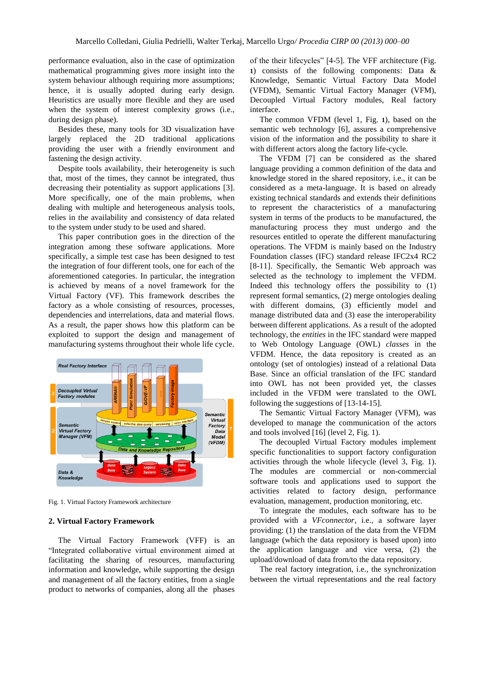performance evaluation, also in the case of optimization mathematical programming gives more insight into the system behaviour although requiring more assumptions; hence, it is usually adopted during early design. Heuristics are usually more flexible and they are used when the system of interest complexity grows (i.e., during design phase).

Besides these, many tools for 3D visualization have largely replaced the 2D traditional applications providing the user with a friendly environment and fastening the design activity.

Despite tools availability, their heterogeneity is such that, most of the times, they cannot be integrated, thus decreasing their potentiality as support applications [3]. More specifically, one of the main problems, when dealing with multiple and heterogeneous analysis tools, relies in the availability and consistency of data related to the system under study to be used and shared.

This paper contribution goes in the direction of the integration among these software applications. More specifically, a simple test case has been designed to test the integration of four different tools, one for each of the aforementioned categories. In particular, the integration is achieved by means of a novel framework for the Virtual Factory (VF). This framework describes the factory as a whole consisting of resources, processes, dependencies and interrelations, data and material flows. As a result, the paper shows how this platform can be exploited to support the design and management of manufacturing systems throughout their whole life cycle.



<span id="page-1-0"></span>Fig. 1. Virtual Factory Framework architecture

## **2. Virtual Factory Framework**

The Virtual Factory Framework (VFF) is an "Integrated collaborative virtual environment aimed at facilitating the sharing of resources, manufacturing information and knowledge, while supporting the design and management of all the factory entities, from a single product to networks of companies, along all the phases

of the their lifecycles" [4-5]. The VFF architecture [\(Fig.](#page-1-0)  **[1](#page-1-0)**) consists of the following components: Data & Knowledge, Semantic Virtual Factory Data Model (VFDM), Semantic Virtual Factory Manager (VFM), Decoupled Virtual Factory modules, Real factory interface.

The common VFDM (level 1, [Fig.](#page-1-0) **1**), based on the semantic web technology [6], assures a comprehensive vision of the information and the possibility to share it with different actors along the factory life-cycle.

The VFDM [7] can be considered as the shared language providing a common definition of the data and knowledge stored in the shared repository, i.e., it can be considered as a meta-language. It is based on already existing technical standards and extends their definitions to represent the characteristics of a manufacturing system in terms of the products to be manufactured, the manufacturing process they must undergo and the resources entitled to operate the different manufacturing operations. The VFDM is mainly based on the Industry Foundation classes (IFC) standard release IFC2x4 RC2 [8-11]. Specifically, the Semantic Web approach was selected as the technology to implement the VFDM. Indeed this technology offers the possibility to (1) represent formal semantics, (2) merge ontologies dealing with different domains, (3) efficiently model and manage distributed data and (3) ease the interoperability between different applications. As a result of the adopted technology, the *entities* in the IFC standard were mapped to Web Ontology Language (OWL) *classes* in the VFDM. Hence, the data repository is created as an ontology (set of ontologies) instead of a relational Data Base. Since an official translation of the IFC standard into OWL has not been provided yet, the classes included in the VFDM were translated to the OWL following the suggestions of [13-14-15].

The Semantic Virtual Factory Manager (VFM), was developed to manage the communication of the actors and tools involved [16] (level 2[, Fig. 1\)](#page-1-0).

The decoupled Virtual Factory modules implement specific functionalities to support factory configuration activities through the whole lifecycle (level 3, [Fig. 1\)](#page-1-0). The modules are commercial or non-commercial software tools and applications used to support the activities related to factory design, performance evaluation, management, production monitoring, etc.

To integrate the modules, each software has to be provided with a *VFconnector*, i.e., a software layer providing: (1) the translation of the data from the VFDM language (which the data repository is based upon) into the application language and vice versa, (2) the upload/download of data from/to the data repository.

The real factory integration, i.e., the synchronization between the virtual representations and the real factory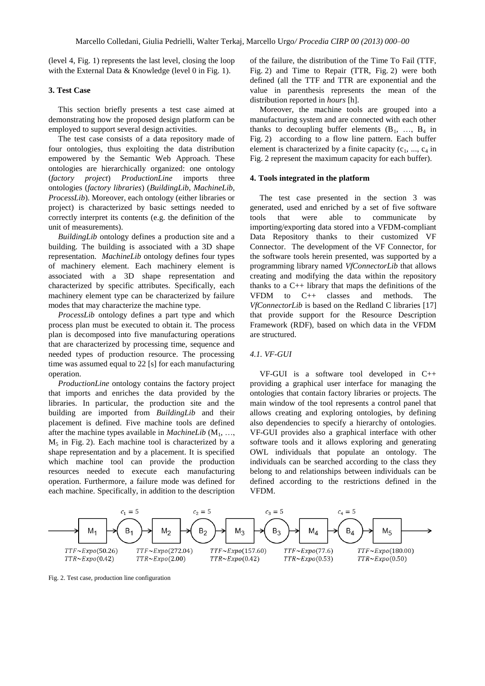(level 4, [Fig. 1\)](#page-1-0) represents the last level, closing the loop with the External Data & Knowledge (level 0 in Fig. 1).

# <span id="page-2-0"></span>**3. Test Case**

This section briefly presents a test case aimed at demonstrating how the proposed design platform can be employed to support several design activities.

The test case consists of a data repository made of four ontologies, thus exploiting the data distribution empowered by the Semantic Web Approach. These ontologies are hierarchically organized: one ontology (*factory project*) *ProductionLine* imports three ontologies (*factory libraries*) (*BuildingLib*, *MachineLib*, *ProcessLib*). Moreover, each ontology (either libraries or project) is characterized by basic settings needed to correctly interpret its contents (e.g. the definition of the unit of measurements).

*BuildingLib* ontology defines a production site and a building. The building is associated with a 3D shape representation. *MachineLib* ontology defines four types of machinery element. Each machinery element is associated with a 3D shape representation and characterized by specific attributes. Specifically, each machinery element type can be characterized by failure modes that may characterize the machine type.

*ProcessLib* ontology defines a part type and which process plan must be executed to obtain it. The process plan is decomposed into five manufacturing operations that are characterized by processing time, sequence and needed types of production resource. The processing time was assumed equal to 22 [s] for each manufacturing operation.

*ProductionLine* ontology contains the factory project that imports and enriches the data provided by the libraries. In particular, the production site and the building are imported from *BuildingLib* and their placement is defined. Five machine tools are defined after the machine types available in *MachineLib* ( $M_1$ , ...,  $M<sub>5</sub>$  in Fig. 2). Each machine tool is characterized by a shape representation and by a placement. It is specified which machine tool can provide the production resources needed to execute each manufacturing operation. Furthermore, a failure mode was defined for each machine. Specifically, in addition to the description

of the failure, the distribution of the Time To Fail (TTF, Fig. 2) and Time to Repair (TTR, Fig. 2) were both defined (all the TTF and TTR are exponential and the value in parenthesis represents the mean of the distribution reported in *hours* [h].

Moreover, the machine tools are grouped into a manufacturing system and are connected with each other thanks to decoupling buffer elements  $(B_1, ..., B_4)$  in Fig. 2) according to a flow line pattern. Each buffer element is characterized by a finite capacity  $(c_1, ..., c_4)$  in Fig. 2 represent the maximum capacity for each buffer).

#### **4. Tools integrated in the platform**

The test case presented in the section 3 was generated, used and enriched by a set of five software tools that were able to communicate by importing/exporting data stored into a VFDM-compliant Data Repository thanks to their customized VF Connector. The development of the VF Connector, for the software tools herein presented, was supported by a programming library named *VfConnectorLib* that allows creating and modifying the data within the repository thanks to a  $C_{++}$  library that maps the definitions of the VFDM to C++ classes and methods. The *VfConnectorLib* is based on the Redland C libraries [17] that provide support for the Resource Description Framework (RDF), based on which data in the VFDM are structured.

#### *4.1. VF-GUI*

VF-GUI is a software tool developed in C++ providing a graphical user interface for managing the ontologies that contain factory libraries or projects. The main window of the tool represents a control panel that allows creating and exploring ontologies, by defining also dependencies to specify a hierarchy of ontologies. VF-GUI provides also a graphical interface with other software tools and it allows exploring and generating OWL individuals that populate an ontology. The individuals can be searched according to the class they belong to and relationships between individuals can be defined according to the restrictions defined in the VFDM.



Fig. 2. Test case, production line configuration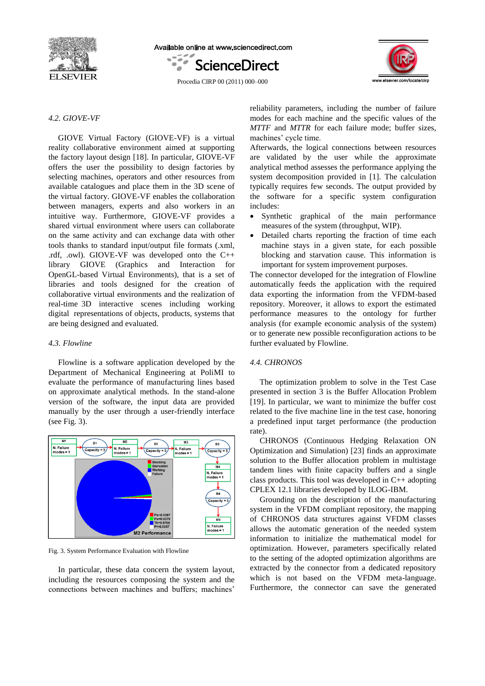

Available online at www.sciencedirect.com





Procedia CIRP 00 (2011) 000–000

# *4.2. GIOVE-VF*

GIOVE Virtual Factory (GIOVE-VF) is a virtual reality collaborative environment aimed at supporting the factory layout design [18]. In particular, GIOVE-VF offers the user the possibility to design factories by selecting machines, operators and other resources from available catalogues and place them in the 3D scene of the virtual factory. GIOVE-VF enables the collaboration between managers, experts and also workers in an intuitive way. Furthermore, GIOVE-VF provides a shared virtual environment where users can collaborate on the same activity and can exchange data with other tools thanks to standard input/output file formats (.xml, .rdf, .owl). GIOVE-VF was developed onto the C++ library GIOVE (Graphics and Interaction for OpenGL-based Virtual Environments), that is a set of libraries and tools designed for the creation of collaborative virtual environments and the realization of real-time 3D interactive scenes including working digital representations of objects, products, systems that are being designed and evaluated.

# *4.3. Flowline*

Flowline is a software application developed by the Department of Mechanical Engineering at PoliMI to evaluate the performance of manufacturing lines based on approximate analytical methods. In the stand-alone version of the software, the input data are provided manually by the user through a user-friendly interface (see Fig. 3).



Fig. 3. System Performance Evaluation with Flowline

In particular, these data concern the system layout, including the resources composing the system and the connections between machines and buffers; machines'

reliability parameters, including the number of failure modes for each machine and the specific values of the *MTTF* and *MTTR* for each failure mode; buffer sizes, machines' cycle time.

Afterwards, the logical connections between resources are validated by the user while the approximate analytical method assesses the performance applying the system decomposition provided in [1]. The calculation typically requires few seconds. The output provided by the software for a specific system configuration includes:

- Synthetic graphical of the main performance measures of the system (throughput, WIP).
- Detailed charts reporting the fraction of time each machine stays in a given state, for each possible blocking and starvation cause. This information is important for system improvement purposes.

The connector developed for the integration of Flowline automatically feeds the application with the required data exporting the information from the VFDM-based repository. Moreover, it allows to export the estimated performance measures to the ontology for further analysis (for example economic analysis of the system) or to generate new possible reconfiguration actions to be further evaluated by Flowline.

# *4.4. CHRONOS*

The optimization problem to solve in the Test Case presented in section [3](#page-2-0) is the Buffer Allocation Problem [19]. In particular, we want to minimize the buffer cost related to the five machine line in the test case, honoring a predefined input target performance (the production rate).

CHRONOS (Continuous Hedging Relaxation ON Optimization and Simulation) [23] finds an approximate solution to the Buffer allocation problem in multistage tandem lines with finite capacity buffers and a single class products. This tool was developed in C++ adopting CPLEX 12.1 libraries developed by ILOG-IBM.

Grounding on the description of the manufacturing system in the VFDM compliant repository, the mapping of CHRONOS data structures against VFDM classes allows the automatic generation of the needed system information to initialize the mathematical model for optimization. However, parameters specifically related to the setting of the adopted optimization algorithms are extracted by the connector from a dedicated repository which is not based on the VFDM meta-language. Furthermore, the connector can save the generated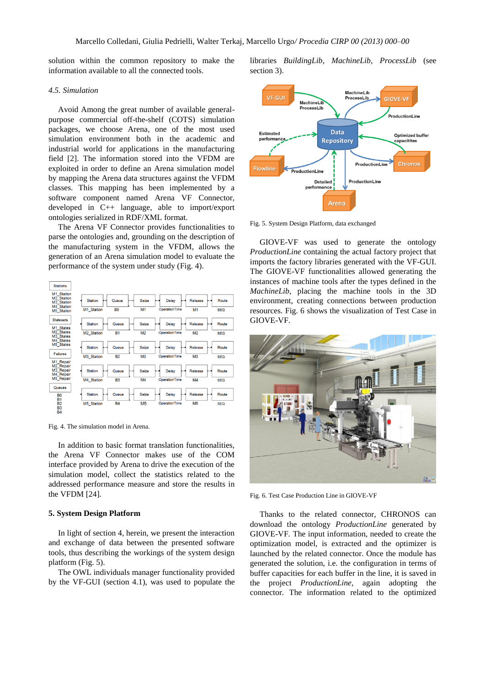solution within the common repository to make the information available to all the connected tools.

#### *4.5. Simulation*

Avoid Among the great number of available generalpurpose commercial off-the-shelf (COTS) simulation packages, we choose Arena, one of the most used simulation environment both in the academic and industrial world for applications in the manufacturing field [2]. The information stored into the VFDM are exploited in order to define an Arena simulation model by mapping the Arena data structures against the VFDM classes. This mapping has been implemented by a software component named Arena VF Connector, developed in C++ language, able to import/export ontologies serialized in RDF/XML format.

The Arena VF Connector provides functionalities to parse the ontologies and, grounding on the description of the manufacturing system in the VFDM, allows the generation of an Arena simulation model to evaluate the performance of the system under study [\(Fig. 4\)](#page-4-0).



<span id="page-4-0"></span>Fig. 4. The simulation model in Arena.

In addition to basic format translation functionalities, the Arena VF Connector makes use of the COM interface provided by Arena to drive the execution of the simulation model, collect the statistics related to the addressed performance measure and store the results in the VFDM [24].

## **5. System Design Platform**

In light of section 4, herein, we present the interaction and exchange of data between the presented software tools, thus describing the workings of the system design platform [\(Fig. 5\)](#page-4-1).

The OWL individuals manager functionality provided by the VF-GUI (section 4.1), was used to populate the

libraries *BuildingLib*, *MachineLib*, *ProcessLib* (see section 3).



<span id="page-4-1"></span>Fig. 5. System Design Platform, data exchanged

GIOVE-VF was used to generate the ontology *ProductionLine* containing the actual factory project that imports the factory libraries generated with the VF-GUI. The GIOVE-VF functionalities allowed generating the instances of machine tools after the types defined in the *MachineLib*, placing the machine tools in the 3D environment, creating connections between production resources. [Fig. 6](#page-4-2) shows the visualization of Test Case in GIOVE-VF.



Fig. 6. Test Case Production Line in GIOVE-VF

<span id="page-4-2"></span>Thanks to the related connector, CHRONOS can download the ontology *ProductionLine* generated by GIOVE-VF*.* The input information, needed to create the optimization model, is extracted and the optimizer is launched by the related connector. Once the module has generated the solution, i.e. the configuration in terms of buffer capacities for each buffer in the line, it is saved in the project *ProductionLine*, again adopting the connector. The information related to the optimized